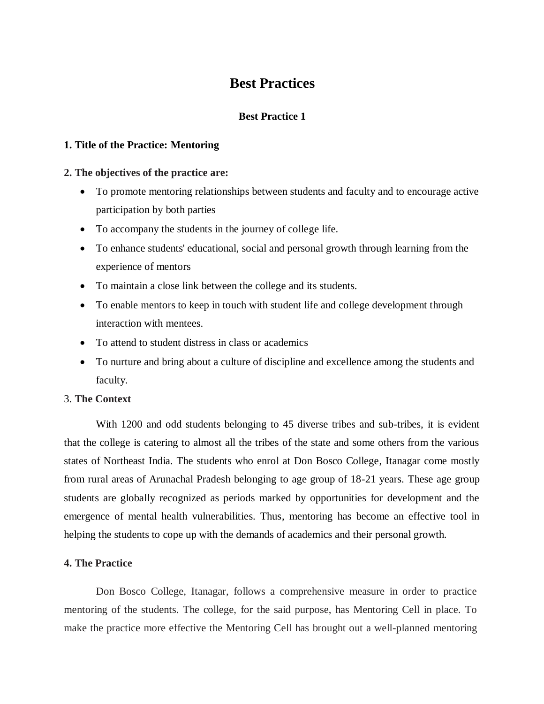# **Best Practices**

## **Best Practice 1**

## **1. Title of the Practice: Mentoring**

## **2. The objectives of the practice are:**

- To promote mentoring relationships between students and faculty and to encourage active participation by both parties
- To accompany the students in the journey of college life.
- To enhance students' educational, social and personal growth through learning from the experience of mentors
- To maintain a close link between the college and its students.
- To enable mentors to keep in touch with student life and college development through interaction with mentees.
- To attend to student distress in class or academics
- To nurture and bring about a culture of discipline and excellence among the students and faculty.

## 3. **The Context**

With 1200 and odd students belonging to 45 diverse tribes and sub-tribes, it is evident that the college is catering to almost all the tribes of the state and some others from the various states of Northeast India. The students who enrol at Don Bosco College, Itanagar come mostly from rural areas of Arunachal Pradesh belonging to age group of 18-21 years. These age group students are globally recognized as periods marked by opportunities for development and the emergence of mental health vulnerabilities. Thus, mentoring has become an effective tool in helping the students to cope up with the demands of academics and their personal growth.

## **4. The Practice**

Don Bosco College, Itanagar, follows a comprehensive measure in order to practice mentoring of the students. The college, for the said purpose, has Mentoring Cell in place. To make the practice more effective the Mentoring Cell has brought out a well-planned mentoring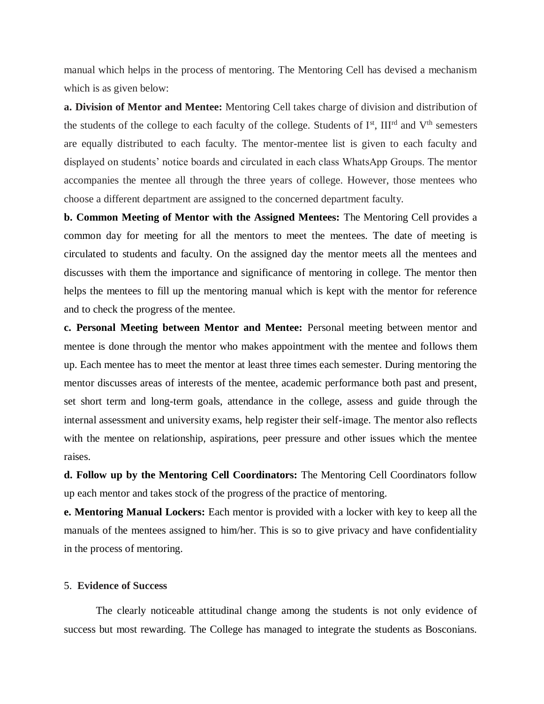manual which helps in the process of mentoring. The Mentoring Cell has devised a mechanism which is as given below:

**a. Division of Mentor and Mentee:** Mentoring Cell takes charge of division and distribution of the students of the college to each faculty of the college. Students of I<sup>st</sup>, III<sup>rd</sup> and V<sup>th</sup> semesters are equally distributed to each faculty. The mentor-mentee list is given to each faculty and displayed on students' notice boards and circulated in each class WhatsApp Groups. The mentor accompanies the mentee all through the three years of college. However, those mentees who choose a different department are assigned to the concerned department faculty.

**b. Common Meeting of Mentor with the Assigned Mentees:** The Mentoring Cell provides a common day for meeting for all the mentors to meet the mentees. The date of meeting is circulated to students and faculty. On the assigned day the mentor meets all the mentees and discusses with them the importance and significance of mentoring in college. The mentor then helps the mentees to fill up the mentoring manual which is kept with the mentor for reference and to check the progress of the mentee.

**c. Personal Meeting between Mentor and Mentee:** Personal meeting between mentor and mentee is done through the mentor who makes appointment with the mentee and follows them up. Each mentee has to meet the mentor at least three times each semester. During mentoring the mentor discusses areas of interests of the mentee, academic performance both past and present, set short term and long-term goals, attendance in the college, assess and guide through the internal assessment and university exams, help register their self-image. The mentor also reflects with the mentee on relationship, aspirations, peer pressure and other issues which the mentee raises.

**d. Follow up by the Mentoring Cell Coordinators:** The Mentoring Cell Coordinators follow up each mentor and takes stock of the progress of the practice of mentoring.

**e. Mentoring Manual Lockers:** Each mentor is provided with a locker with key to keep all the manuals of the mentees assigned to him/her. This is so to give privacy and have confidentiality in the process of mentoring.

#### 5. **Evidence of Success**

The clearly noticeable attitudinal change among the students is not only evidence of success but most rewarding. The College has managed to integrate the students as Bosconians.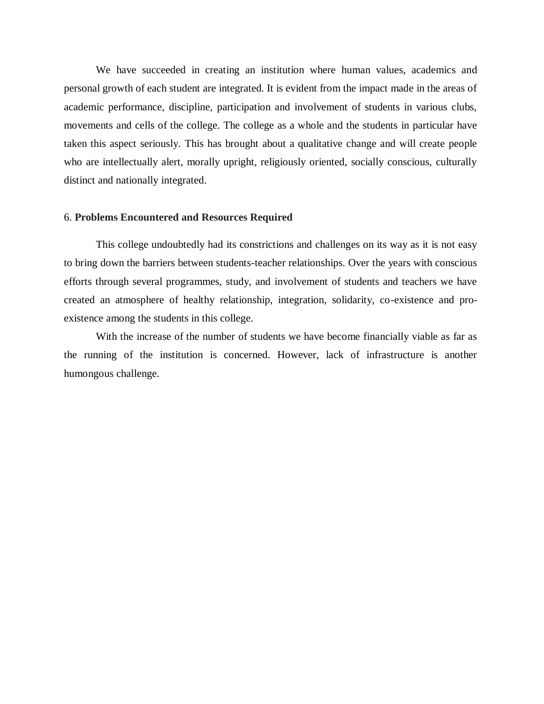We have succeeded in creating an institution where human values, academics and personal growth of each student are integrated. It is evident from the impact made in the areas of academic performance, discipline, participation and involvement of students in various clubs, movements and cells of the college. The college as a whole and the students in particular have taken this aspect seriously. This has brought about a qualitative change and will create people who are intellectually alert, morally upright, religiously oriented, socially conscious, culturally distinct and nationally integrated.

#### 6. **Problems Encountered and Resources Required**

This college undoubtedly had its constrictions and challenges on its way as it is not easy to bring down the barriers between students-teacher relationships. Over the years with conscious efforts through several programmes, study, and involvement of students and teachers we have created an atmosphere of healthy relationship, integration, solidarity, co-existence and proexistence among the students in this college.

With the increase of the number of students we have become financially viable as far as the running of the institution is concerned. However, lack of infrastructure is another humongous challenge.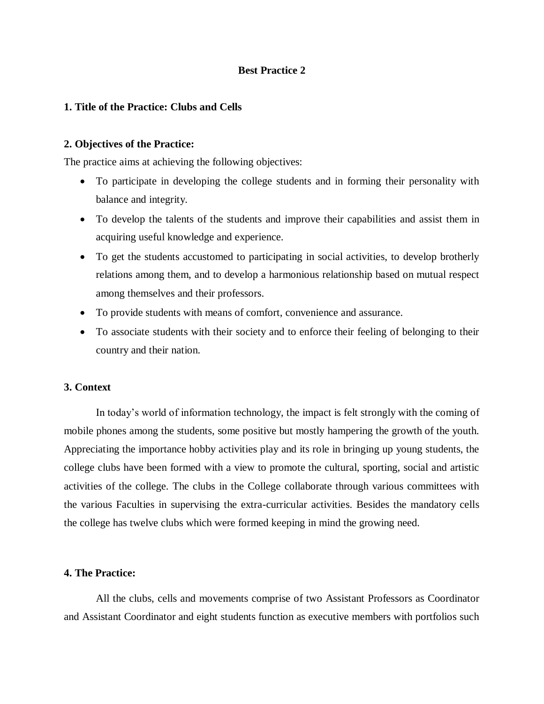## **Best Practice 2**

## **1. Title of the Practice: Clubs and Cells**

#### **2. Objectives of the Practice:**

The practice aims at achieving the following objectives:

- To participate in developing the college students and in forming their personality with balance and integrity.
- To develop the talents of the students and improve their capabilities and assist them in acquiring useful knowledge and experience.
- To get the students accustomed to participating in social activities, to develop brotherly relations among them, and to develop a harmonious relationship based on mutual respect among themselves and their professors.
- To provide students with means of comfort, convenience and assurance.
- To associate students with their society and to enforce their feeling of belonging to their country and their nation.

#### **3. Context**

In today's world of information technology, the impact is felt strongly with the coming of mobile phones among the students, some positive but mostly hampering the growth of the youth. Appreciating the importance hobby activities play and its role in bringing up young students, the college clubs have been formed with a view to promote the cultural, sporting, social and artistic activities of the college. The clubs in the College collaborate through various committees with the various Faculties in supervising the extra-curricular activities. Besides the mandatory cells the college has twelve clubs which were formed keeping in mind the growing need.

#### **4. The Practice:**

All the clubs, cells and movements comprise of two Assistant Professors as Coordinator and Assistant Coordinator and eight students function as executive members with portfolios such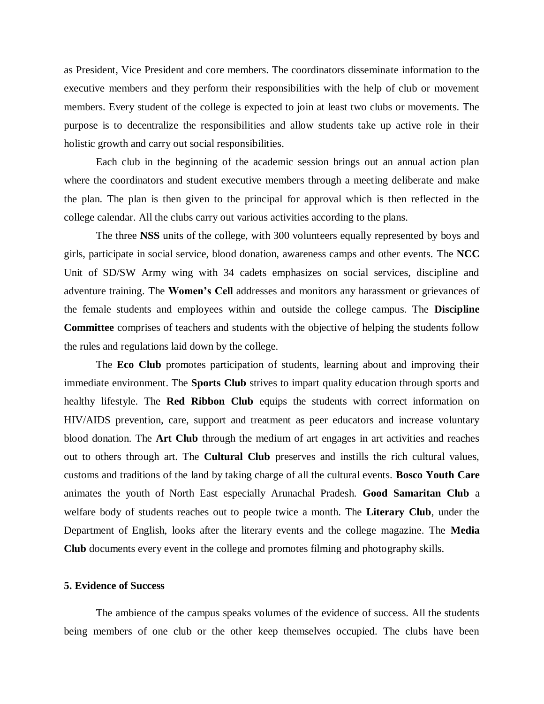as President, Vice President and core members. The coordinators disseminate information to the executive members and they perform their responsibilities with the help of club or movement members. Every student of the college is expected to join at least two clubs or movements. The purpose is to decentralize the responsibilities and allow students take up active role in their holistic growth and carry out social responsibilities.

Each club in the beginning of the academic session brings out an annual action plan where the coordinators and student executive members through a meeting deliberate and make the plan. The plan is then given to the principal for approval which is then reflected in the college calendar. All the clubs carry out various activities according to the plans.

The three **NSS** units of the college, with 300 volunteers equally represented by boys and girls, participate in social service, blood donation, awareness camps and other events. The **NCC** Unit of SD/SW Army wing with 34 cadets emphasizes on social services, discipline and adventure training. The **Women's Cell** addresses and monitors any harassment or grievances of the female students and employees within and outside the college campus. The **Discipline Committee** comprises of teachers and students with the objective of helping the students follow the rules and regulations laid down by the college.

The **Eco Club** promotes participation of students, learning about and improving their immediate environment. The **Sports Club** strives to impart quality education through sports and healthy lifestyle. The **Red Ribbon Club** equips the students with correct information on HIV/AIDS prevention, care, support and treatment as peer educators and increase voluntary blood donation. The **Art Club** through the medium of art engages in art activities and reaches out to others through art. The **Cultural Club** preserves and instills the rich cultural values, customs and traditions of the land by taking charge of all the cultural events. **Bosco Youth Care** animates the youth of North East especially Arunachal Pradesh. **Good Samaritan Club** a welfare body of students reaches out to people twice a month. The **Literary Club**, under the Department of English, looks after the literary events and the college magazine. The **Media Club** documents every event in the college and promotes filming and photography skills.

#### **5. Evidence of Success**

The ambience of the campus speaks volumes of the evidence of success. All the students being members of one club or the other keep themselves occupied. The clubs have been